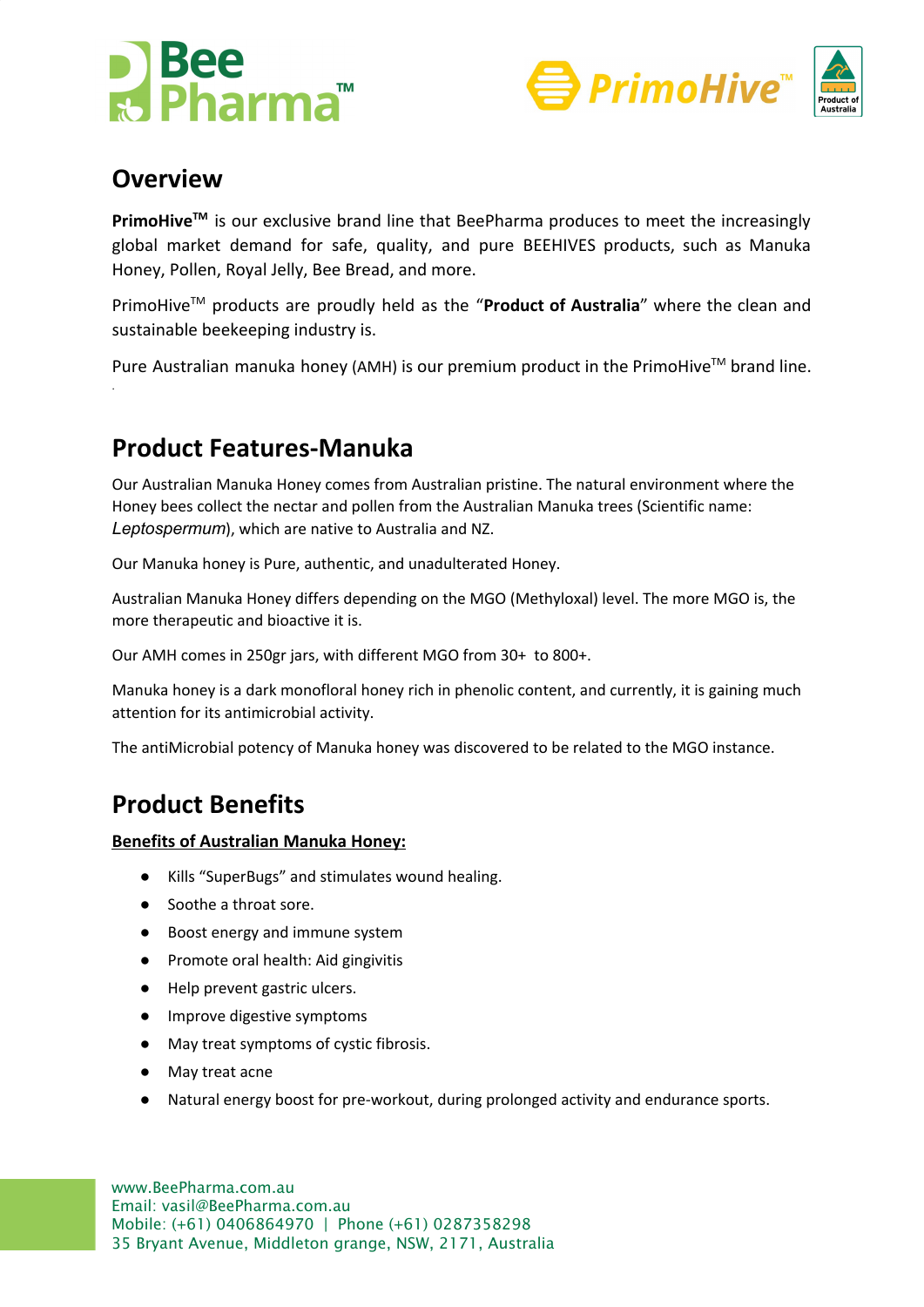





### **Overview**

.

**PrimoHiveTM** is our exclusive brand line that BeePharma produces to meet the increasingly global market demand for safe, quality, and pure BEEHIVES products, such as Manuka Honey, Pollen, Royal Jelly, Bee Bread, and more.

PrimoHiveTM products are proudly held as the "**Product of Australia**" where the clean and sustainable beekeeping industry is.

Pure Australian manuka honey (AMH) is our premium product in the PrimoHive<sup>TM</sup> brand line.

# **Product Features-Manuka**

Our Australian Manuka Honey comes from Australian pristine. The natural environment where the Honey bees collect the nectar and pollen from the Australian Manuka trees (Scientific name: *Leptospermum*), which are native to Australia and NZ.

Our Manuka honey is Pure, authentic, and unadulterated Honey.

Australian Manuka Honey differs depending on the MGO (Methyloxal) level. The more MGO is, the more therapeutic and bioactive it is.

Our AMH comes in 250gr jars, with different MGO from 30+ to 800+.

Manuka honey is a dark monofloral honey rich in phenolic content, and currently, it is gaining much attention for its antimicrobial activity.

The antiMicrobial potency of Manuka honey was discovered to be related to the MGO instance.

# **Product Benefits**

#### **Benefits of Australian Manuka Honey:**

- Kills "SuperBugs" and stimulates wound healing.
- Soothe a throat sore.
- Boost energy and immune system
- Promote oral health: Aid gingivitis
- Help prevent gastric ulcers.
- Improve digestive symptoms
- May treat symptoms of cystic fibrosis.
- May treat acne
- Natural energy boost for pre-workout, during prolonged activity and endurance sports.